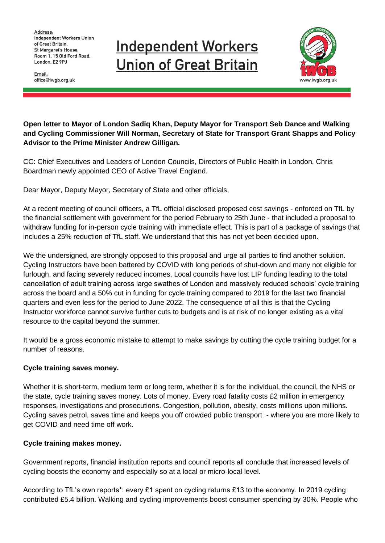Address: **Independent Workers Union** of Great Britain. St Margaret's House, Room 1, 15 Old Ford Road, London, E2 9PJ

Email: office@iwgb.org.uk

# **Independent Workers Union of Great Britain**



**Open letter to Mayor of London Sadiq Khan, Deputy Mayor for Transport Seb Dance and Walking and Cycling Commissioner Will Norman, Secretary of State for Transport Grant Shapps and Policy Advisor to the Prime Minister Andrew Gilligan.**

CC: Chief Executives and Leaders of London Councils, Directors of Public Health in London, Chris Boardman newly appointed CEO of Active Travel England.

Dear Mayor, Deputy Mayor, Secretary of State and other officials,

At a recent meeting of council officers, a TfL official disclosed proposed cost savings - enforced on TfL by the financial settlement with government for the period February to 25th June - that included a proposal to withdraw funding for in-person cycle training with immediate effect. This is part of a package of savings that includes a 25% reduction of TfL staff. We understand that this has not yet been decided upon.

We the undersigned, are strongly opposed to this proposal and urge all parties to find another solution. Cycling Instructors have been battered by COVID with long periods of shut-down and many not eligible for furlough, and facing severely reduced incomes. Local councils have lost LIP funding leading to the total cancellation of adult training across large swathes of London and massively reduced schools' cycle training across the board and a 50% cut in funding for cycle training compared to 2019 for the last two financial quarters and even less for the period to June 2022. The consequence of all this is that the Cycling Instructor workforce cannot survive further cuts to budgets and is at risk of no longer existing as a vital resource to the capital beyond the summer.

It would be a gross economic mistake to attempt to make savings by cutting the cycle training budget for a number of reasons.

# **Cycle training saves money.**

Whether it is short-term, medium term or long term, whether it is for the individual, the council, the NHS or the state, cycle training saves money. Lots of money. Every road fatality costs £2 million in emergency responses, investigations and prosecutions. Congestion, pollution, obesity, costs millions upon millions. Cycling saves petrol, saves time and keeps you off crowded public transport - where you are more likely to get COVID and need time off work.

# **Cycle training makes money.**

Government reports, financial institution reports and council reports all conclude that increased levels of cycling boosts the economy and especially so at a local or micro-local level.

According to TfL's own reports\*: every £1 spent on cycling returns £13 to the economy. In 2019 cycling contributed £5.4 billion. Walking and cycling improvements boost consumer spending by 30%. People who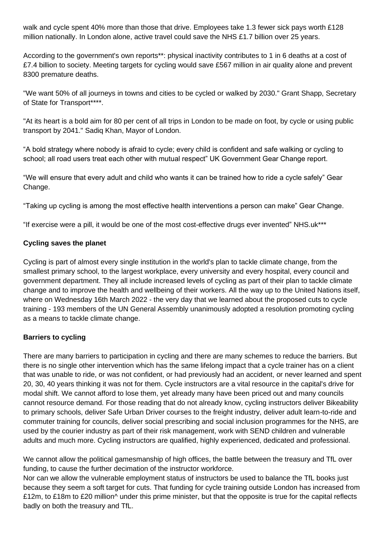walk and cycle spent 40% more than those that drive. Employees take 1.3 fewer sick pays worth £128 million nationally. In London alone, active travel could save the NHS £1.7 billion over 25 years.

According to the government's own reports\*\*: physical inactivity contributes to 1 in 6 deaths at a cost of £7.4 billion to society. Meeting targets for cycling would save £567 million in air quality alone and prevent 8300 premature deaths.

"We want 50% of all journeys in towns and cities to be cycled or walked by 2030." Grant Shapp, Secretary of State for Transport\*\*\*\*.

"At its heart is a bold aim for 80 per cent of all trips in London to be made on foot, by cycle or using public transport by 2041." Sadiq Khan, Mayor of London.

"A bold strategy where nobody is afraid to cycle; every child is confident and safe walking or cycling to school; all road users treat each other with mutual respect" UK Government Gear Change report.

"We will ensure that every adult and child who wants it can be trained how to ride a cycle safely" Gear Change.

"Taking up cycling is among the most effective health interventions a person can make" Gear Change.

"If exercise were a pill, it would be one of the most cost-effective drugs ever invented" NHS.uk\*\*\*

#### **Cycling saves the planet**

Cycling is part of almost every single institution in the world's plan to tackle climate change, from the smallest primary school, to the largest workplace, every university and every hospital, every council and government department. They all include increased levels of cycling as part of their plan to tackle climate change and to improve the health and wellbeing of their workers. All the way up to the United Nations itself, where on Wednesday 16th March 2022 - the very day that we learned about the proposed cuts to cycle training - 193 members of the UN General Assembly unanimously adopted a resolution promoting cycling as a means to tackle climate change.

# **Barriers to cycling**

There are many barriers to participation in cycling and there are many schemes to reduce the barriers. But there is no single other intervention which has the same lifelong impact that a cycle trainer has on a client that was unable to ride, or was not confident, or had previously had an accident, or never learned and spent 20, 30, 40 years thinking it was not for them. Cycle instructors are a vital resource in the capital's drive for modal shift. We cannot afford to lose them, yet already many have been priced out and many councils cannot resource demand. For those reading that do not already know, cycling instructors deliver Bikeability to primary schools, deliver Safe Urban Driver courses to the freight industry, deliver adult learn-to-ride and commuter training for councils, deliver social prescribing and social inclusion programmes for the NHS, are used by the courier industry as part of their risk management, work with SEND children and vulnerable adults and much more. Cycling instructors are qualified, highly experienced, dedicated and professional.

We cannot allow the political gamesmanship of high offices, the battle between the treasury and TfL over funding, to cause the further decimation of the instructor workforce.

Nor can we allow the vulnerable employment status of instructors be used to balance the TfL books just because they seem a soft target for cuts. That funding for cycle training outside London has increased from £12m, to £18m to £20 million^ under this prime minister, but that the opposite is true for the capital reflects badly on both the treasury and TfL.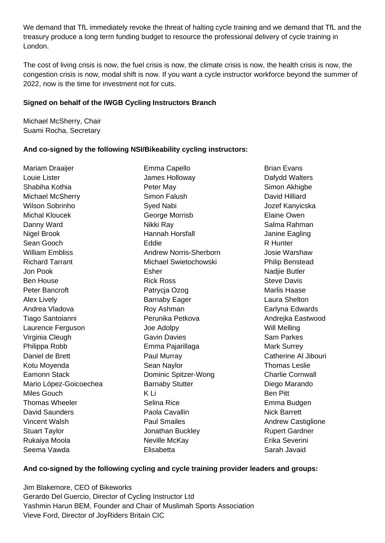We demand that TfL immediately revoke the threat of halting cycle training and we demand that TfL and the treasury produce a long term funding budget to resource the professional delivery of cycle training in London.

The cost of living crisis is now, the fuel crisis is now, the climate crisis is now, the health crisis is now, the congestion crisis is now, modal shift is now. If you want a cycle instructor workforce beyond the summer of 2022, now is the time for investment not for cuts.

#### **Signed on behalf of the IWGB Cycling Instructors Branch**

Michael McSherry, Chair Suami Rocha, Secretary

# **And co-signed by the following NSI/Bikeability cycling instructors:**

Mariam Draaijer Louie Lister Shabiha Kothia Michael McSherry Wilson Sobrinho Michal Kloucek Danny Ward Nigel Brook Sean Gooch William Embliss Richard Tarrant Jon Pook Ben House Peter Bancroft Alex Lively Andrea Vladova Tiago Santoianni Laurence Ferguson Virginia Cleugh Philippa Robb Daniel de Brett Kotu Moyenda Eamonn Stack Mario López-Goicoechea Miles Gouch Thomas Wheeler David Saunders Vincent Walsh Stuart Taylor Rukaiya Moola Seema Vawda

Emma Capello James Holloway Peter May Simon Falush Syed Nabi George Morrisb Nikki Ray Hannah Horsfall Eddie Andrew Norris-Sherborn Michael Swietochowski Esher Rick Ross Patrycja Ozog Barnaby Eager Roy Ashman Perunika Petkova Joe Adolpy Gavin Davies Emma Pajarillaga Paul Murray Sean Naylor Dominic Spitzer-Wong Barnaby Stutter K Li Selina Rice Paola Cavallin Paul Smailes Jonathan Buckley Neville McKay Elisabetta

Brian Evans Dafydd Walters Simon Akhigbe David Hilliard Jozef Kanyicska Elaine Owen Salma Rahman Janine Eagling R Hunter Josie Warshaw Philip Benstead Nadjie Butler Steve Davis Marlis Haase Laura Shelton Earlyna Edwards Andrejka Eastwood Will Melling Sam Parkes Mark Surrey Catherine Al Jibouri Thomas Leslie Charlie Cornwall Diego Marando Ben Pitt Emma Budgen Nick Barrett Andrew Castiglione Rupert Gardner Erika Severini Sarah Javaid

#### **And co-signed by the following cycling and cycle training provider leaders and groups:**

Jim Blakemore, CEO of Bikeworks Gerardo Del Guercio, Director of Cycling Instructor Ltd Yashmin Harun BEM, Founder and Chair of Muslimah Sports Association Vieve Ford, Director of JoyRiders Britain CIC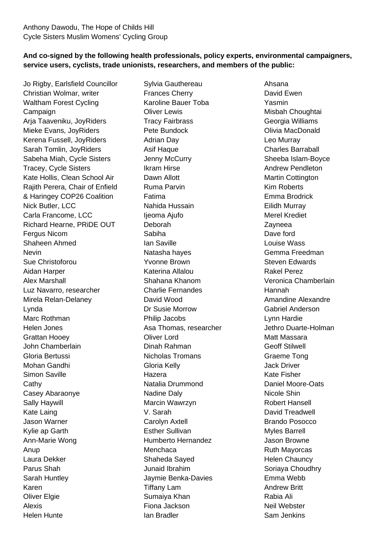# **And co-signed by the following health professionals, policy experts, environmental campaigners, service users, cyclists, trade unionists, researchers, and members of the public:**

Jo Rigby, Earlsfield Councillor Christian Wolmar, writer Waltham Forest Cycling **Campaign** Arja Taaveniku, JoyRiders Mieke Evans, JoyRiders Kerena Fussell, JoyRiders Sarah Tomlin, JoyRiders Sabeha Miah, Cycle Sisters Tracey, Cycle Sisters Kate Hollis, Clean School Air Rajith Perera, Chair of Enfield & Haringey COP26 Coalition Nick Butler, LCC Carla Francome, LCC Richard Hearne, PRiDE OUT Fergus Nicom Shaheen Ahmed Nevin Sue Christoforou Aidan Harper Alex Marshall Luz Navarro, researcher Mirela Relan-Delaney Lynda Marc Rothman Helen Jones Grattan Hooey John Chamberlain Gloria Bertussi Mohan Gandhi Simon Saville **Cathy** Casey Abaraonye Sally Haywill Kate Laing Jason Warner Kylie ap Garth Ann-Marie Wong Anup Laura Dekker Parus Shah Sarah Huntley Karen Oliver Elgie Alexis Helen Hunte

Sylvia Gauthereau Frances Cherry Karoline Bauer Toba Oliver Lewis Tracy Fairbrass Pete Bundock Adrian Day Asif Haque Jenny McCurry Ikram Hirse Dawn Allott Ruma Parvin Fatima Nahida Hussain Ijeoma Ajufo Deborah Sabiha Ian Saville Natasha hayes Yvonne Brown Katerina Allalou Shahana Khanom Charlie Fernandes David Wood Dr Susie Morrow Philip Jacobs Asa Thomas, researcher Oliver Lord Dinah Rahman Nicholas Tromans Gloria Kelly Hazera Natalia Drummond Nadine Daly Marcin Wawrzyn V. Sarah Carolyn Axtell Esther Sullivan Humberto Hernandez Menchaca Shaheda Sayed Junaid Ibrahim Jaymie Benka-Davies Tiffany Lam Sumaiya Khan Fiona Jackson Ian Bradler

Ahsana David Ewen Yasmin Misbah Choughtai Georgia Williams Olivia MacDonald Leo Murray Charles Barraball Sheeba Islam-Boyce Andrew Pendleton Martin Cottington Kim Roberts Emma Brodrick Eilidh Murray Merel Krediet Zayneea Dave ford Louise Wass Gemma Freedman Steven Edwards Rakel Perez Veronica Chamberlain Hannah Amandine Alexandre Gabriel Anderson Lynn Hardie Jethro Duarte-Holman Matt Massara Geoff Stilwell Graeme Tong Jack Driver Kate Fisher Daniel Moore-Oats Nicole Shin Robert Hansell David Treadwell Brando Posocco Myles Barrell Jason Browne Ruth Mayorcas Helen Chauncy Soriaya Choudhry Emma Webb Andrew Britt Rabia Ali Neil Webster Sam Jenkins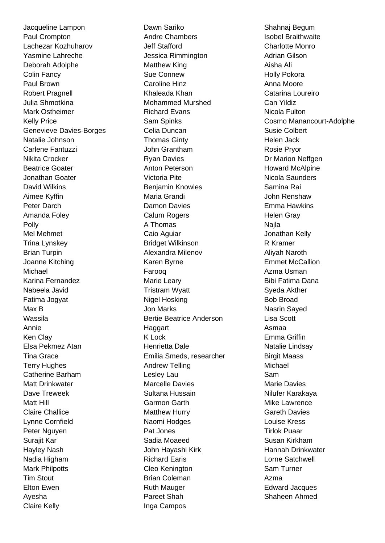Jacqueline Lampon Paul Crompton Lachezar Kozhuharov Yasmine Lahreche Deborah Adolphe Colin Fancy Paul Brown Robert Pragnell Julia Shmotkina Mark Ostheimer Kelly Price Genevieve Davies-Borges Natalie Johnson Carlene Fantuzzi Nikita Crocker Beatrice Goater Jonathan Goater David Wilkins Aimee Kyffin Peter Darch Amanda Foley Polly Mel Mehmet Trina Lynskey Brian Turpin Joanne Kitching Michael Karina Fernandez Nabeela Javid Fatima Jogyat Max B Wassila Annie Ken Clay Elsa Pekmez Atan Tina Grace Terry Hughes Catherine Barham Matt Drinkwater Dave Treweek Matt Hill Claire Challice Lynne Cornfield Peter Nguyen Surajit Kar Hayley Nash Nadia Higham Mark Philpotts Tim Stout Elton Ewen Ayesha Claire Kelly

Dawn Sariko Andre Chambers Jeff Stafford Jessica Rimmington Matthew King Sue Connew Caroline Hinz Khaleada Khan Mohammed Murshed Richard Evans Sam Spinks Celia Duncan Thomas Ginty John Grantham Ryan Davies Anton Peterson Victoria Pite Benjamin Knowles Maria Grandi Damon Davies Calum Rogers A Thomas Caio Aguiar Bridget Wilkinson Alexandra Milenov Karen Byrne Farooq Marie Leary Tristram Wyatt Nigel Hosking Jon Marks Bertie Beatrice Anderson **Haggart** K Lock Henrietta Dale Emilia Smeds, researcher Andrew Telling Lesley Lau Marcelle Davies Sultana Hussain Garmon Garth Matthew Hurry Naomi Hodges Pat Jones Sadia Moaeed John Hayashi Kirk Richard Earis Cleo Kenington Brian Coleman Ruth Mauger Pareet Shah Inga Campos

Shahnaj Begum Isobel Braithwaite Charlotte Monro Adrian Gilson Aisha Ali Holly Pokora Anna Moore Catarina Loureiro Can Yildiz Nicola Fulton Cosmo Manancourt-Adolphe Susie Colbert Helen Jack Rosie Pryor Dr Marion Neffgen Howard McAlpine Nicola Saunders Samina Rai John Renshaw Emma Hawkins Helen Gray Najla Jonathan Kelly R Kramer Aliyah Naroth Emmet McCallion Azma Usman Bibi Fatima Dana Syeda Akther Bob Broad Nasrin Sayed Lisa Scott Asmaa Emma Griffin Natalie Lindsay Birgit Maass Michael Sam Marie Davies Nilufer Karakaya Mike Lawrence Gareth Davies Louise Kress Tirlok Puaar Susan Kirkham Hannah Drinkwater Lorne Satchwell Sam Turner Azma Edward Jacques Shaheen Ahmed